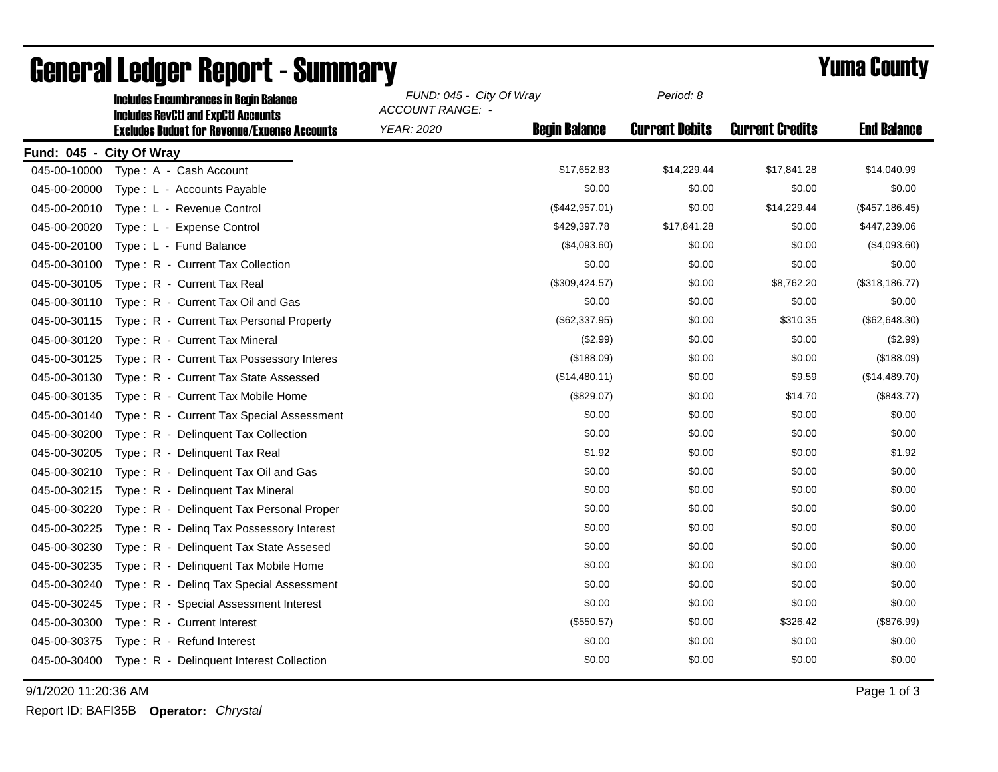|                          | <b>Includes Encumbrances in Begin Balance</b><br><b>Includes RevCtI and ExpCtI Accounts</b> | FUND: 045 - City Of Wray<br>ACCOUNT RANGE: - |                      | Period: 8             |                        |                    |
|--------------------------|---------------------------------------------------------------------------------------------|----------------------------------------------|----------------------|-----------------------|------------------------|--------------------|
|                          | <b>Excludes Budget for Revenue/Expense Accounts</b>                                         | YEAR: 2020                                   | <b>Begin Balance</b> | <b>Current Debits</b> | <b>Current Credits</b> | <b>End Balance</b> |
| Fund: 045 - City Of Wray |                                                                                             |                                              |                      |                       |                        |                    |
| 045-00-10000             | Type: A - Cash Account                                                                      |                                              | \$17,652.83          | \$14,229.44           | \$17,841.28            | \$14,040.99        |
| 045-00-20000             | Type: L - Accounts Payable                                                                  |                                              | \$0.00               | \$0.00                | \$0.00                 | \$0.00             |
| 045-00-20010             | Type: L - Revenue Control                                                                   |                                              | (\$442,957.01)       | \$0.00                | \$14,229.44            | (\$457, 186.45)    |
| 045-00-20020             | Type: L - Expense Control                                                                   |                                              | \$429,397.78         | \$17,841.28           | \$0.00                 | \$447,239.06       |
| 045-00-20100             | Type: L - Fund Balance                                                                      |                                              | (\$4,093.60)         | \$0.00                | \$0.00                 | (\$4,093.60)       |
| 045-00-30100             | Type: R - Current Tax Collection                                                            |                                              | \$0.00               | \$0.00                | \$0.00                 | \$0.00             |
| 045-00-30105             | Type: R - Current Tax Real                                                                  |                                              | (\$309,424.57)       | \$0.00                | \$8,762.20             | (\$318, 186.77)    |
| 045-00-30110             | Type: R - Current Tax Oil and Gas                                                           |                                              | \$0.00               | \$0.00                | \$0.00                 | \$0.00             |
| 045-00-30115             | Type: R - Current Tax Personal Property                                                     |                                              | (\$62,337.95)        | \$0.00                | \$310.35               | (\$62,648.30)      |
| 045-00-30120             | Type: R - Current Tax Mineral                                                               |                                              | (\$2.99)             | \$0.00                | \$0.00                 | (\$2.99)           |
| 045-00-30125             | Type: R - Current Tax Possessory Interes                                                    |                                              | (\$188.09)           | \$0.00                | \$0.00                 | (\$188.09)         |
| 045-00-30130             | Type: R - Current Tax State Assessed                                                        |                                              | (\$14,480.11)        | \$0.00                | \$9.59                 | (\$14,489.70)      |
| 045-00-30135             | Type: R - Current Tax Mobile Home                                                           |                                              | (\$829.07)           | \$0.00                | \$14.70                | (\$843.77)         |
| 045-00-30140             | Type: R - Current Tax Special Assessment                                                    |                                              | \$0.00               | \$0.00                | \$0.00                 | \$0.00             |
| 045-00-30200             | Type: R - Delinquent Tax Collection                                                         |                                              | \$0.00               | \$0.00                | \$0.00                 | \$0.00             |
| 045-00-30205             | Type: R - Delinguent Tax Real                                                               |                                              | \$1.92               | \$0.00                | \$0.00                 | \$1.92             |
| 045-00-30210             | Type: R - Delinquent Tax Oil and Gas                                                        |                                              | \$0.00               | \$0.00                | \$0.00                 | \$0.00             |
| 045-00-30215             | Type: R - Delinguent Tax Mineral                                                            |                                              | \$0.00               | \$0.00                | \$0.00                 | \$0.00             |
| 045-00-30220             | Type: R - Delinquent Tax Personal Proper                                                    |                                              | \$0.00               | \$0.00                | \$0.00                 | \$0.00             |
| 045-00-30225             | Deling Tax Possessory Interest<br>$Type: R -$                                               |                                              | \$0.00               | \$0.00                | \$0.00                 | \$0.00             |
| 045-00-30230             | Type: R - Delinquent Tax State Assesed                                                      |                                              | \$0.00               | \$0.00                | \$0.00                 | \$0.00             |
| 045-00-30235             | Type: R - Delinquent Tax Mobile Home                                                        |                                              | \$0.00               | \$0.00                | \$0.00                 | \$0.00             |
| 045-00-30240             | Type: R - Deling Tax Special Assessment                                                     |                                              | \$0.00               | \$0.00                | \$0.00                 | \$0.00             |
| 045-00-30245             | Type: R - Special Assessment Interest                                                       |                                              | \$0.00               | \$0.00                | \$0.00                 | \$0.00             |
| 045-00-30300             | Type: R - Current Interest                                                                  |                                              | (\$550.57)           | \$0.00                | \$326.42               | (\$876.99)         |
| 045-00-30375             | Type: R - Refund Interest                                                                   |                                              | \$0.00               | \$0.00                | \$0.00                 | \$0.00             |
| 045-00-30400             | Type: R - Delinquent Interest Collection                                                    |                                              | \$0.00               | \$0.00                | \$0.00                 | \$0.00             |

## General Ledger Report - Summary **Example 2018** Yuma County

9/1/2020 11:20:36 AM Page 1 of 3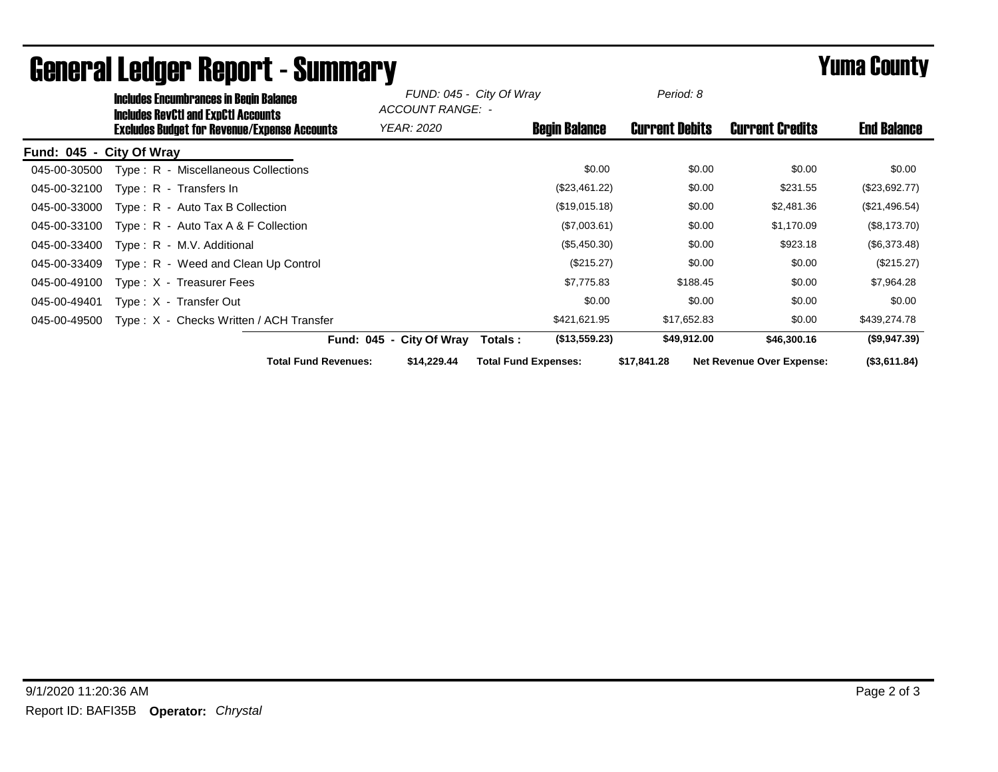|                          | <b>Includes Encumbrances in Begin Balance</b><br><b>Includes RevCtI and ExpCtI Accounts</b><br><b>Excludes Budget for Revenue/Expense Accounts</b> |                                         |                    | FUND: 045 - City Of Wray<br>ACCOUNT RANGE: - |                             | Period: 8            |                       |                                  |                    |
|--------------------------|----------------------------------------------------------------------------------------------------------------------------------------------------|-----------------------------------------|--------------------|----------------------------------------------|-----------------------------|----------------------|-----------------------|----------------------------------|--------------------|
|                          |                                                                                                                                                    |                                         |                    | <b>YEAR: 2020</b>                            |                             | <b>Begin Balance</b> | <b>Current Debits</b> | <b>Current Credits</b>           | <b>End Balance</b> |
| Fund: 045 - City Of Wray |                                                                                                                                                    |                                         |                    |                                              |                             |                      |                       |                                  |                    |
| 045-00-30500             |                                                                                                                                                    | Type: R - Miscellaneous Collections     |                    |                                              |                             | \$0.00               | \$0.00                | \$0.00                           | \$0.00             |
| 045-00-32100             |                                                                                                                                                    | Type: R - Transfers In                  |                    |                                              |                             | (\$23,461.22)        | \$0.00                | \$231.55                         | (\$23,692.77)      |
| 045-00-33000             |                                                                                                                                                    | $Type: R - Auto Tax B Collection$       |                    |                                              |                             | (\$19,015.18)        | \$0.00                | \$2,481.36                       | (\$21,496.54)      |
| 045-00-33100             |                                                                                                                                                    | Type: $R -$ Auto Tax A & F Collection   |                    |                                              |                             | (\$7,003.61)         | \$0.00                | \$1,170.09                       | (\$8,173.70)       |
| 045-00-33400             |                                                                                                                                                    | Type: R - M.V. Additional               |                    |                                              |                             | (\$5,450.30)         | \$0.00                | \$923.18                         | (\$6,373.48)       |
| 045-00-33409             |                                                                                                                                                    | Type: R - Weed and Clean Up Control     |                    |                                              |                             | (\$215.27)           | \$0.00                | \$0.00                           | (\$215.27)         |
| 045-00-49100             |                                                                                                                                                    | Type: X - Treasurer Fees                |                    |                                              |                             | \$7,775.83           | \$188.45              | \$0.00                           | \$7,964.28         |
| 045-00-49401             |                                                                                                                                                    | Type: X - Transfer Out                  |                    |                                              |                             | \$0.00               | \$0.00                | \$0.00                           | \$0.00             |
| 045-00-49500             |                                                                                                                                                    | Type: X - Checks Written / ACH Transfer |                    |                                              |                             | \$421,621.95         | \$17,652.83           | \$0.00                           | \$439,274.78       |
|                          |                                                                                                                                                    |                                         | <b>Fund: 045 -</b> | <b>City Of Wray</b>                          | Totals :                    | (\$13,559.23)        | \$49,912.00           | \$46,300.16                      | (\$9,947.39)       |
|                          |                                                                                                                                                    | <b>Total Fund Revenues:</b>             |                    | \$14,229.44                                  | <b>Total Fund Expenses:</b> |                      | \$17,841.28           | <b>Net Revenue Over Expense:</b> | (\$3,611.84)       |

## General Ledger Report - Summary **Experience Systems** Yuma County